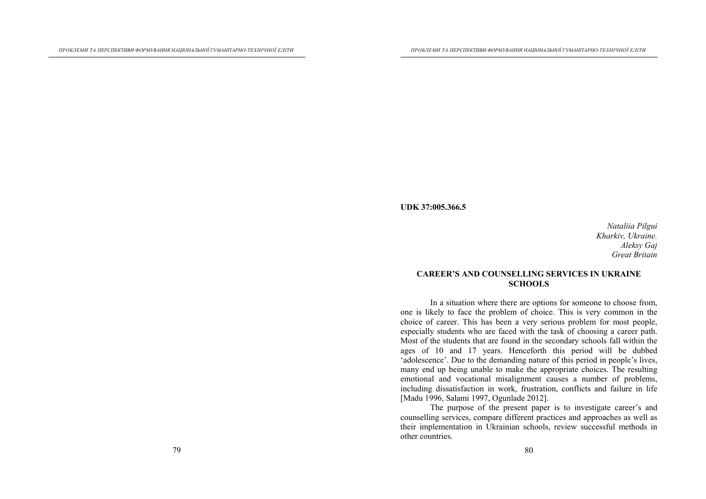#### **UDK 37:005.366.5**

*Nataliia Pilgui Kharkiv, Ukraine. Aleksy Gaj Great Britain*

#### **CAREER'S AND COUNSELLING SERVICES IN UKRAINE SCHOOLS**

In a situation where there are options for someone to choose from, one is likely to face the problem of choice. This is very common in the choice of career. This has been a very serious problem for most people, especially students who are faced with the task of choosing a career path. Most of the students that are found in the secondary schools fall within the ages of 10 and 17 years. Henceforth this period will be dubbed 'adolescence'. Due to the demanding nature of this period in people's lives, many end up being unable to make the appropriate choices. The resulting emotional and vocational misalignment causes a number of problems, including dissatisfaction in work, frustration, conflicts and failure in life [Madu 1996, Salami 1997, Ogunlade 2012].

The purpose of the present paper is to investigate career's and counselling services, compare different practices and approaches as well as their implementation in Ukrainian schools, review successful methods in other countries.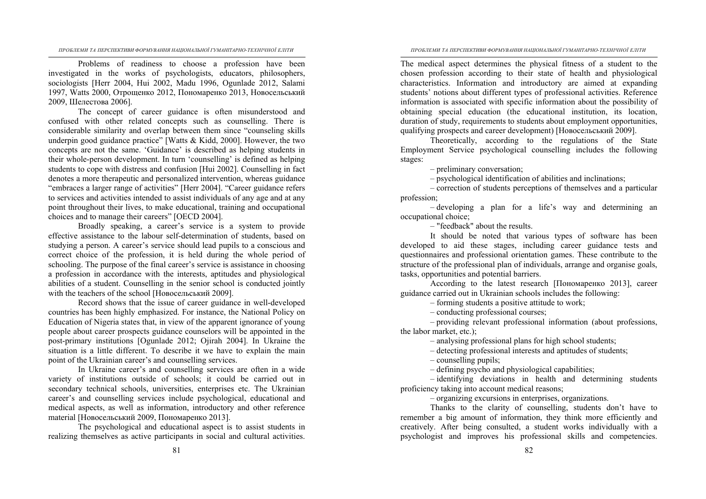*ПРОБЛЕМИ ТА ПЕРСПЕКТИВИ ФОРМУВАННЯ НАЦІОНАЛЬНОЇ ГУМАНІТАРНО-ТЕХНІЧНОЇ ЕЛІТИ*

*ПРОБЛЕМИ ТА ПЕРСПЕКТИВИ ФОРМУВАННЯ НАЦІОНАЛЬНОЇ ГУМАНІТАРНО-ТЕХНІЧНОЇ ЕЛІТИ*

Problems of readiness to choose a profession have been investigated in the works of psychologists, educators, philosophers, sociologists [Herr 2004, Hui 2002, Madu 1996, Ogunlade 2012, Salami 1997, Watts 2000, Отрощенко 2012, Пономаренко 2013, Новосельський 2009, Шелестова 2006].

The concept of career guidance is often misunderstood and confused with other related concepts such as counselling. There is considerable similarity and overlap between them since "counseling skills underpin good guidance practice" [Watts  $&$  Kidd, 2000]. However, the two concepts are not the same. 'Guidance' is described as helping students in their whole-person development. In turn 'counselling' is defined as helping students to cope with distress and confusion [Hui 2002]. Counselling in fact denotes a more therapeutic and personalized intervention, whereas guidance "embraces a larger range of activities" [Herr 2004]. "Career guidance refers to services and activities intended to assist individuals of any age and at any point throughout their lives, to make educational, training and occupational choices and to manage their careers" [OECD 2004].

Broadly speaking, a career's service is a system to provide effective assistance to the labour self-determination of students, based on studying a person. A career's service should lead pupils to a conscious and correct choice of the profession, it is held during the whole period of schooling. The purpose of the final career's service is assistance in choosing a profession in accordance with the interests, aptitudes and physiological abilities of a student. Counselling in the senior school is conducted jointly with the teachers of the school [Новосельський 2009].

Record shows that the issue of career guidance in well-developed countries has been highly emphasized. For instance, the National Policy on Education of Nigeria states that, in view of the apparent ignorance of young people about career prospects guidance counselors will be appointed in the post-primary institutions [Ogunlade 2012; Ojirah 2004]. In Ukraine the situation is a little different. To describe it we have to explain the main point of the Ukrainian career's and counselling services.

In Ukraine career's and counselling services are often in a wide variety of institutions outside of schools; it could be carried out in secondary technical schools, universities, enterprises etc. The Ukrainian career's and counselling services include psychological, educational and medical aspects, as well as information, introductory and other reference material [Новосельський 2009, Пономаренко 2013].

The psychological and educational aspect is to assist students in realizing themselves as active participants in social and cultural activities. The medical aspect determines the physical fitness of a student to the chosen profession according to their state of health and physiological characteristics. Information and introductory are aimed at expanding students' notions about different types of professional activities. Reference information is associated with specific information about the possibility of obtaining special education (the educational institution, its location, duration of study, requirements to students about employment opportunities, qualifying prospects and career development) [Новосельський 2009].

Theoretically, according to the regulations of the State Employment Service psychological counselling includes the following stages:

– preliminary conversation;

– psychological identification of abilities and inclinations;

– correction of students perceptions of themselves and a particular profession;

– developing a plan for a life's way and determining an occupational choice;

– "feedback" about the results.

It should be noted that various types of software has been developed to aid these stages, including career guidance tests and questionnaires and professional orientation games. These contribute to the structure of the professional plan of individuals, arrange and organise goals, tasks, opportunities and potential barriers.

According to the latest research [Пономаренко 2013], career guidance carried out in Ukrainian schools includes the following:

– forming students a positive attitude to work;

– conducting professional courses;

– providing relevant professional information (about professions, the labor market, etc.);

– analysing professional plans for high school students;

– detecting professional interests and aptitudes of students;

– counselling pupils;

– defining psycho and physiological capabilities;

– identifying deviations in health and determining students proficiency taking into account medical reasons;

– organizing excursions in enterprises, organizations.

Thanks to the clarity of counselling, students don't have to remember a big amount of information, they think more efficiently and creatively. After being consulted, a student works individually with a psychologist and improves his professional skills and competencies.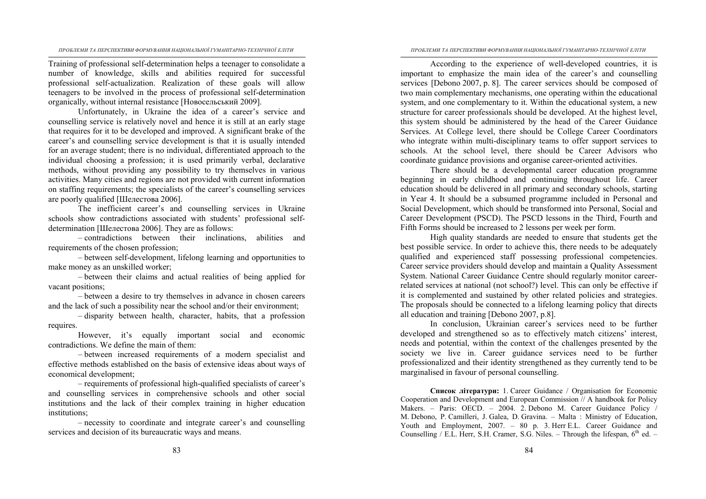*ПРОБЛЕМИ ТА ПЕРСПЕКТИВИ ФОРМУВАННЯ НАЦІОНАЛЬНОЇ ГУМАНІТАРНО-ТЕХНІЧНОЇ ЕЛІТИ*

*ПРОБЛЕМИ ТА ПЕРСПЕКТИВИ ФОРМУВАННЯ НАЦІОНАЛЬНОЇ ГУМАНІТАРНО-ТЕХНІЧНОЇ ЕЛІТИ*

Training of professional self-determination helps a teenager to consolidate a number of knowledge, skills and abilities required for successful professional self-actualization. Realization of these goals will allow teenagers to be involved in the process of professional self-determination organically, without internal resistance [Новосельський 2009].

Unfortunately, in Ukraine the idea of a career's service and counselling service is relatively novel and hence it is still at an early stage that requires for it to be developed and improved. A significant brake of the career's and counselling service development is that it is usually intended for an average student; there is no individual, differentiated approach to the individual choosing a profession; it is used primarily verbal, declarative methods, without providing any possibility to try themselves in various activities. Many cities and regions are not provided with current information on staffing requirements; the specialists of the career's counselling services are poorly qualified [Шелестова 2006].

The inefficient career's and counselling services in Ukraine schools show contradictions associated with students' professional selfdetermination [Шелестова 2006]. They are as follows:

– contradictions between their inclinations, abilities and requirements of the chosen profession;

– between self-development, lifelong learning and opportunities to make money as an unskilled worker;

– between their claims and actual realities of being applied for vacant positions;

– between a desire to try themselves in advance in chosen careers and the lack of such a possibility near the school and/or their environment;

– disparity between health, character, habits, that a profession requires.

However, it's equally important social and economic contradictions. We define the main of them:

– between increased requirements of a modern specialist and effective methods established on the basis of extensive ideas about ways of economical development;

– requirements of professional high-qualified specialists of career's and counselling services in comprehensive schools and other social institutions and the lack of their complex training in higher education institutions;

– necessity to coordinate and integrate career's and counselling services and decision of its bureaucratic ways and means.

According to the experience of well-developed countries, it is important to emphasize the main idea of the career's and counselling services [Debono 2007, p. 8]. The career services should be composed of two main complementary mechanisms, one operating within the educational system, and one complementary to it. Within the educational system, a new structure for career professionals should be developed. At the highest level, this system should be administered by the head of the Career Guidance Services. At College level, there should be College Career Coordinators who integrate within multi-disciplinary teams to offer support services to schools. At the school level, there should be Career Advisors who coordinate guidance provisions and organise career-oriented activities.

There should be a developmental career education programme beginning in early childhood and continuing throughout life. Career education should be delivered in all primary and secondary schools, starting in Year 4. It should be a subsumed programme included in Personal and Social Development, which should be transformed into Personal, Social and Career Development (PSCD). The PSCD lessons in the Third, Fourth and Fifth Forms should be increased to 2 lessons per week per form.

High quality standards are needed to ensure that students get the best possible service. In order to achieve this, there needs to be adequately qualified and experienced staff possessing professional competencies. Career service providers should develop and maintain a Quality Assessment System. National Career Guidance Centre should regularly monitor careerrelated services at national (not school?) level. This can only be effective if it is complemented and sustained by other related policies and strategies. The proposals should be connected to a lifelong learning policy that directs all education and training [Debono 2007, p.8].

In conclusion, Ukrainian career's services need to be further developed and strengthened so as to effectively match citizens' interest, needs and potential, within the context of the challenges presented by the society we live in. Career guidance services need to be further professionalized and their identity strengthened as they currently tend to be marginalised in favour of personal counselling.

**Список літератури:** 1. Career Guidance / Organisation for Economic Cooperation and Development and European Commission // A handbook for Policy Makers. – Paris: OECD. – 2004. 2. Debono M. Career Guidance Policy / M. Debono, P. Camilleri, J. Galea, D. Gravina. – Malta : Ministry of Education, Youth and Employment, 2007. – 80 p. 3. Herr E.L. Career Guidance and Counselling / E.L. Herr, S.H. Cramer, S.G. Niles. – Through the lifespan,  $6<sup>th</sup>$  ed. –